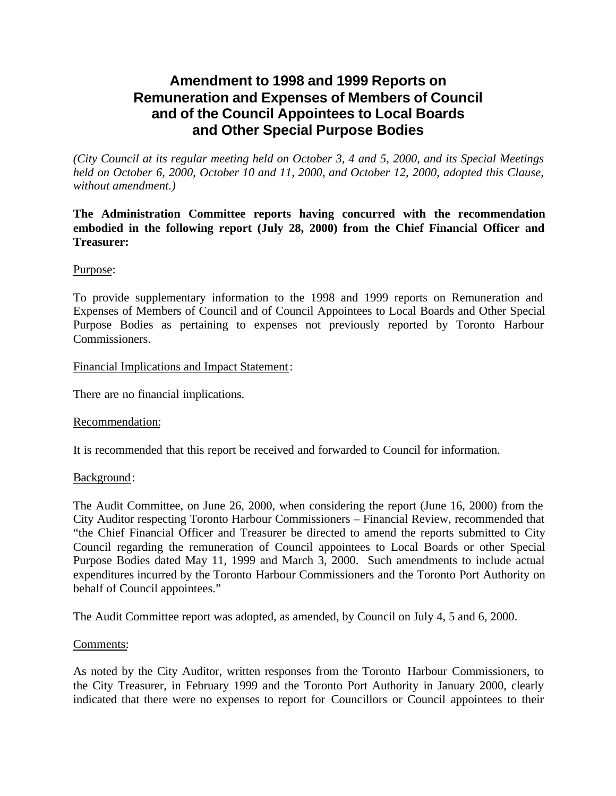# **Amendment to 1998 and 1999 Reports on Remuneration and Expenses of Members of Council and of the Council Appointees to Local Boards and Other Special Purpose Bodies**

*(City Council at its regular meeting held on October 3, 4 and 5, 2000, and its Special Meetings held on October 6, 2000, October 10 and 11, 2000, and October 12, 2000, adopted this Clause, without amendment.)*

**The Administration Committee reports having concurred with the recommendation embodied in the following report (July 28, 2000) from the Chief Financial Officer and Treasurer:**

# Purpose:

To provide supplementary information to the 1998 and 1999 reports on Remuneration and Expenses of Members of Council and of Council Appointees to Local Boards and Other Special Purpose Bodies as pertaining to expenses not previously reported by Toronto Harbour Commissioners.

#### Financial Implications and Impact Statement:

There are no financial implications.

# Recommendation:

It is recommended that this report be received and forwarded to Council for information.

#### Background:

The Audit Committee, on June 26, 2000, when considering the report (June 16, 2000) from the City Auditor respecting Toronto Harbour Commissioners – Financial Review, recommended that "the Chief Financial Officer and Treasurer be directed to amend the reports submitted to City Council regarding the remuneration of Council appointees to Local Boards or other Special Purpose Bodies dated May 11, 1999 and March 3, 2000. Such amendments to include actual expenditures incurred by the Toronto Harbour Commissioners and the Toronto Port Authority on behalf of Council appointees."

The Audit Committee report was adopted, as amended, by Council on July 4, 5 and 6, 2000.

# Comments:

As noted by the City Auditor, written responses from the Toronto Harbour Commissioners, to the City Treasurer, in February 1999 and the Toronto Port Authority in January 2000, clearly indicated that there were no expenses to report for Councillors or Council appointees to their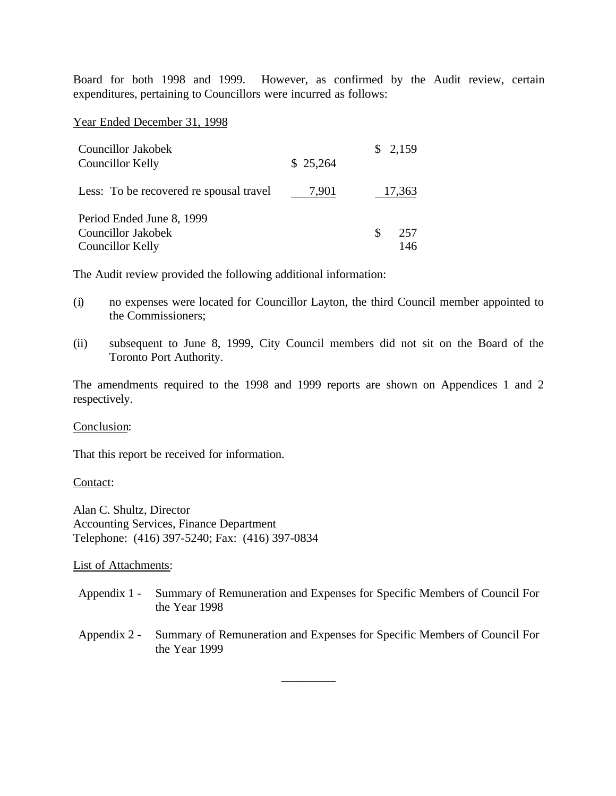Board for both 1998 and 1999. However, as confirmed by the Audit review, certain expenditures, pertaining to Councillors were incurred as follows:

Year Ended December 31, 1998

| Councillor Jakobek<br>Councillor Kelly                              | \$25,264 | \$2,159         |
|---------------------------------------------------------------------|----------|-----------------|
| Less: To be recovered re spousal travel                             | 7,901    | 17,363          |
| Period Ended June 8, 1999<br>Councillor Jakobek<br>Councillor Kelly |          | S<br>257<br>146 |

The Audit review provided the following additional information:

- (i) no expenses were located for Councillor Layton, the third Council member appointed to the Commissioners;
- (ii) subsequent to June 8, 1999, City Council members did not sit on the Board of the Toronto Port Authority.

The amendments required to the 1998 and 1999 reports are shown on Appendices 1 and 2 respectively.

#### Conclusion:

That this report be received for information.

Contact:

Alan C. Shultz, Director Accounting Services, Finance Department Telephone: (416) 397-5240; Fax: (416) 397-0834

#### List of Attachments:

- Appendix 1 Summary of Remuneration and Expenses for Specific Members of Council For the Year 1998
- Appendix 2 Summary of Remuneration and Expenses for Specific Members of Council For the Year 1999

\_\_\_\_\_\_\_\_\_